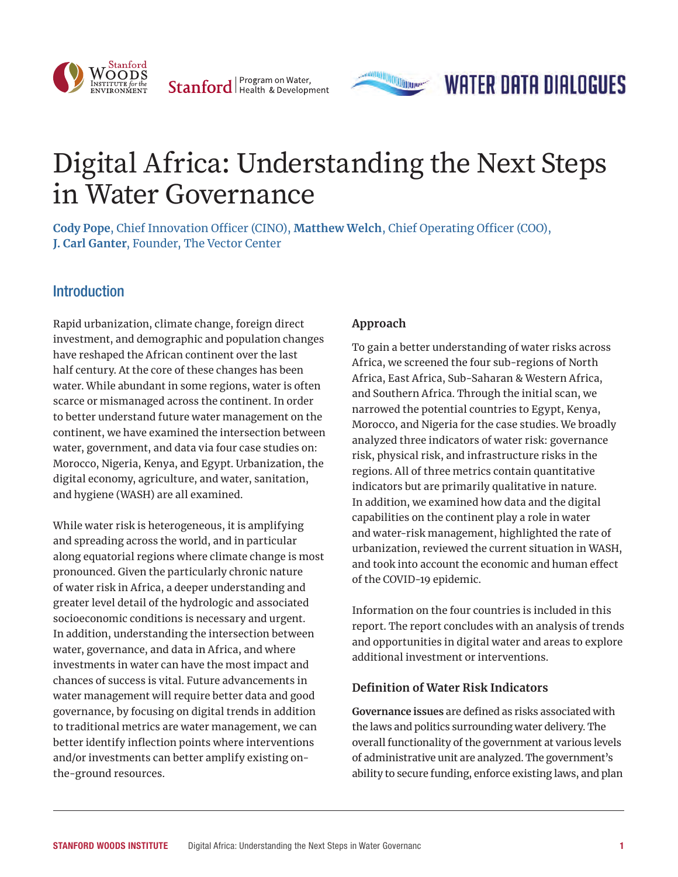





# Digital Africa: Understanding the Next Steps in Water Governance

**Cody Pope**, Chief Innovation Officer (CINO), **Matthew Welch**, Chief Operating Officer (COO), **J. Carl Ganter**, Founder, The Vector Center

# **Introduction**

Rapid urbanization, climate change, foreign direct investment, and demographic and population changes have reshaped the African continent over the last half century. At the core of these changes has been water. While abundant in some regions, water is often scarce or mismanaged across the continent. In order to better understand future water management on the continent, we have examined the intersection between water, government, and data via four case studies on: Morocco, Nigeria, Kenya, and Egypt. Urbanization, the digital economy, agriculture, and water, sanitation, and hygiene (WASH) are all examined.

While water risk is heterogeneous, it is amplifying and spreading across the world, and in particular along equatorial regions where climate change is most pronounced. Given the particularly chronic nature of water risk in Africa, a deeper understanding and greater level detail of the hydrologic and associated socioeconomic conditions is necessary and urgent. In addition, understanding the intersection between water, governance, and data in Africa, and where investments in water can have the most impact and chances of success is vital. Future advancements in water management will require better data and good governance, by focusing on digital trends in addition to traditional metrics are water management, we can better identify inflection points where interventions and/or investments can better amplify existing onthe-ground resources.

# **Approach**

To gain a better understanding of water risks across Africa, we screened the four sub-regions of North Africa, East Africa, Sub-Saharan & Western Africa, and Southern Africa. Through the initial scan, we narrowed the potential countries to Egypt, Kenya, Morocco, and Nigeria for the case studies. We broadly analyzed three indicators of water risk: governance risk, physical risk, and infrastructure risks in the regions. All of three metrics contain quantitative indicators but are primarily qualitative in nature. In addition, we examined how data and the digital capabilities on the continent play a role in water and water-risk management, highlighted the rate of urbanization, reviewed the current situation in WASH, and took into account the economic and human effect of the COVID-19 epidemic.

Information on the four countries is included in this report. The report concludes with an analysis of trends and opportunities in digital water and areas to explore additional investment or interventions.

## **Definition of Water Risk Indicators**

**Governance issues** are defined as risks associated with the laws and politics surrounding water delivery. The overall functionality of the government at various levels of administrative unit are analyzed. The government's ability to secure funding, enforce existing laws, and plan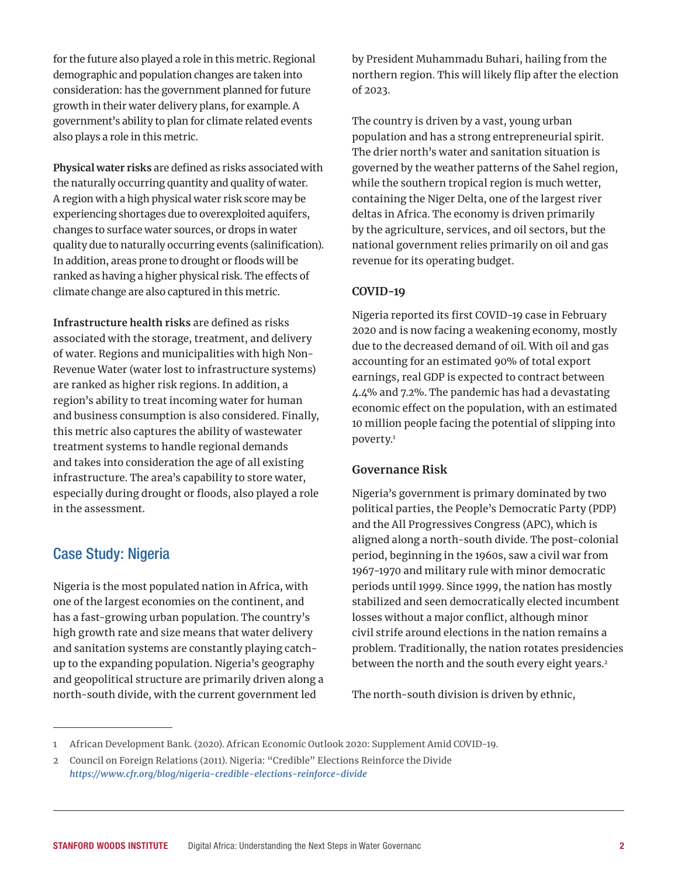for the future also played a role in this metric. Regional demographic and population changes are taken into consideration: has the government planned for future growth in their water delivery plans, for example. A government's ability to plan for climate related events also plays a role in this metric.

**Physical water risks** are defined as risks associated with the naturally occurring quantity and quality of water. A region with a high physical water risk score may be experiencing shortages due to overexploited aquifers, changes to surface water sources, or drops in water quality due to naturally occurring events (salinification). In addition, areas prone to drought or floods will be ranked as having a higher physical risk. The effects of climate change are also captured in this metric.

**Infrastructure health risks** are defined as risks associated with the storage, treatment, and delivery of water. Regions and municipalities with high Non-Revenue Water (water lost to infrastructure systems) are ranked as higher risk regions. In addition, a region's ability to treat incoming water for human and business consumption is also considered. Finally, this metric also captures the ability of wastewater treatment systems to handle regional demands and takes into consideration the age of all existing infrastructure. The area's capability to store water, especially during drought or floods, also played a role in the assessment.

# Case Study: Nigeria

Nigeria is the most populated nation in Africa, with one of the largest economies on the continent, and has a fast-growing urban population. The country's high growth rate and size means that water delivery and sanitation systems are constantly playing catchup to the expanding population. Nigeria's geography and geopolitical structure are primarily driven along a north-south divide, with the current government led

by President Muhammadu Buhari, hailing from the northern region. This will likely flip after the election of 2023.

The country is driven by a vast, young urban population and has a strong entrepreneurial spirit. The drier north's water and sanitation situation is governed by the weather patterns of the Sahel region, while the southern tropical region is much wetter, containing the Niger Delta, one of the largest river deltas in Africa. The economy is driven primarily by the agriculture, services, and oil sectors, but the national government relies primarily on oil and gas revenue for its operating budget.

#### **COVID-19**

Nigeria reported its first COVID-19 case in February 2020 and is now facing a weakening economy, mostly due to the decreased demand of oil. With oil and gas accounting for an estimated 90% of total export earnings, real GDP is expected to contract between 4.4% and 7.2%. The pandemic has had a devastating economic effect on the population, with an estimated 10 million people facing the potential of slipping into poverty.1

## **Governance Risk**

Nigeria's government is primary dominated by two political parties, the People's Democratic Party (PDP) and the All Progressives Congress (APC), which is aligned along a north-south divide. The post-colonial period, beginning in the 1960s, saw a civil war from 1967-1970 and military rule with minor democratic periods until 1999. Since 1999, the nation has mostly stabilized and seen democratically elected incumbent losses without a major conflict, although minor civil strife around elections in the nation remains a problem. Traditionally, the nation rotates presidencies between the north and the south every eight years.<sup>2</sup>

The north-south division is driven by ethnic,

<sup>1</sup> African Development Bank. (2020). African Economic Outlook 2020: Supplement Amid COVID-19.

<sup>2</sup> Council on Foreign Relations (2011). Nigeria: "Credible" Elections Reinforce the Divide *<https://www.cfr.org/blog/nigeria-credible-elections-reinforce-divide>*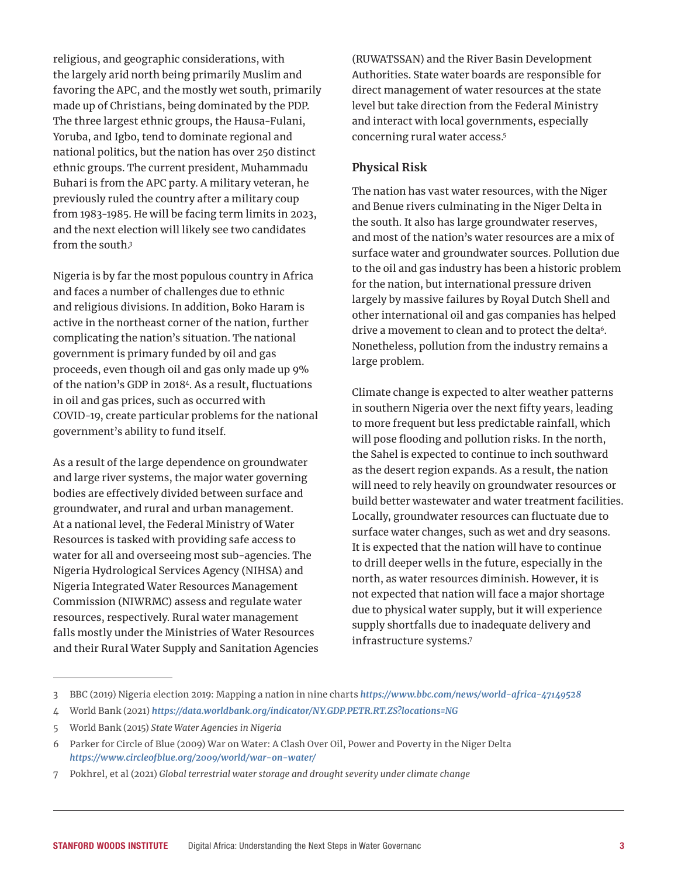religious, and geographic considerations, with the largely arid north being primarily Muslim and favoring the APC, and the mostly wet south, primarily made up of Christians, being dominated by the PDP. The three largest ethnic groups, the Hausa-Fulani, Yoruba, and Igbo, tend to dominate regional and national politics, but the nation has over 250 distinct ethnic groups. The current president, Muhammadu Buhari is from the APC party. A military veteran, he previously ruled the country after a military coup from 1983-1985. He will be facing term limits in 2023, and the next election will likely see two candidates from the south.3

Nigeria is by far the most populous country in Africa and faces a number of challenges due to ethnic and religious divisions. In addition, Boko Haram is active in the northeast corner of the nation, further complicating the nation's situation. The national government is primary funded by oil and gas proceeds, even though oil and gas only made up 9% of the nation's GDP in 2018<sup>4</sup>. As a result, fluctuations in oil and gas prices, such as occurred with COVID-19, create particular problems for the national government's ability to fund itself.

As a result of the large dependence on groundwater and large river systems, the major water governing bodies are effectively divided between surface and groundwater, and rural and urban management. At a national level, the Federal Ministry of Water Resources is tasked with providing safe access to water for all and overseeing most sub-agencies. The Nigeria Hydrological Services Agency (NIHSA) and Nigeria Integrated Water Resources Management Commission (NIWRMC) assess and regulate water resources, respectively. Rural water management falls mostly under the Ministries of Water Resources and their Rural Water Supply and Sanitation Agencies (RUWATSSAN) and the River Basin Development Authorities. State water boards are responsible for direct management of water resources at the state level but take direction from the Federal Ministry and interact with local governments, especially concerning rural water access.5

# **Physical Risk**

The nation has vast water resources, with the Niger and Benue rivers culminating in the Niger Delta in the south. It also has large groundwater reserves, and most of the nation's water resources are a mix of surface water and groundwater sources. Pollution due to the oil and gas industry has been a historic problem for the nation, but international pressure driven largely by massive failures by Royal Dutch Shell and other international oil and gas companies has helped drive a movement to clean and to protect the delta<sup>6</sup>. Nonetheless, pollution from the industry remains a large problem.

Climate change is expected to alter weather patterns in southern Nigeria over the next fifty years, leading to more frequent but less predictable rainfall, which will pose flooding and pollution risks. In the north, the Sahel is expected to continue to inch southward as the desert region expands. As a result, the nation will need to rely heavily on groundwater resources or build better wastewater and water treatment facilities. Locally, groundwater resources can fluctuate due to surface water changes, such as wet and dry seasons. It is expected that the nation will have to continue to drill deeper wells in the future, especially in the north, as water resources diminish. However, it is not expected that nation will face a major shortage due to physical water supply, but it will experience supply shortfalls due to inadequate delivery and infrastructure systems.7

<sup>3</sup> BBC (2019) Nigeria election 2019: Mapping a nation in nine charts *<https://www.bbc.com/news/world-africa-47149528>*

<sup>4</sup> World Bank (2021) *<https://data.worldbank.org/indicator/NY.GDP.PETR.RT.ZS?locations=NG>*

<sup>5</sup> World Bank (2015) *State Water Agencies in Nigeria*

<sup>6</sup> Parker for Circle of Blue (2009) War on Water: A Clash Over Oil, Power and Poverty in the Niger Delta *<https://www.circleofblue.org/2009/world/war-on-water/>*

<sup>7</sup> Pokhrel, et al (2021) *Global terrestrial water storage and drought severity under climate change*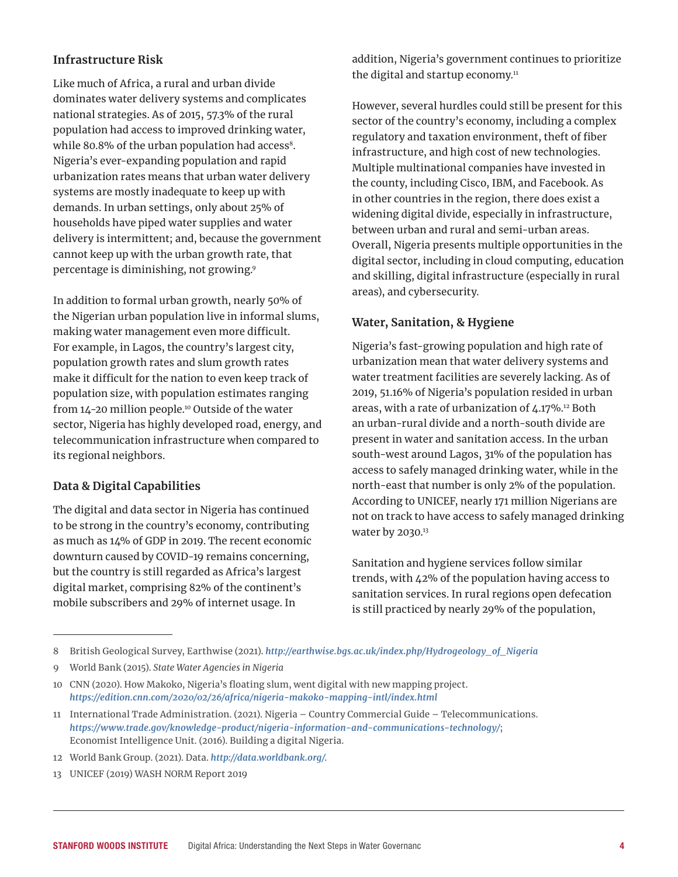## **Infrastructure Risk**

Like much of Africa, a rural and urban divide dominates water delivery systems and complicates national strategies. As of 2015, 57.3% of the rural population had access to improved drinking water, while 80.8% of the urban population had access<sup>8</sup>. Nigeria's ever-expanding population and rapid urbanization rates means that urban water delivery systems are mostly inadequate to keep up with demands. In urban settings, only about 25% of households have piped water supplies and water delivery is intermittent; and, because the government cannot keep up with the urban growth rate, that percentage is diminishing, not growing.9

In addition to formal urban growth, nearly 50% of the Nigerian urban population live in informal slums, making water management even more difficult. For example, in Lagos, the country's largest city, population growth rates and slum growth rates make it difficult for the nation to even keep track of population size, with population estimates ranging from 14-20 million people.10 Outside of the water sector, Nigeria has highly developed road, energy, and telecommunication infrastructure when compared to its regional neighbors.

#### **Data & Digital Capabilities**

The digital and data sector in Nigeria has continued to be strong in the country's economy, contributing as much as 14% of GDP in 2019. The recent economic downturn caused by COVID-19 remains concerning, but the country is still regarded as Africa's largest digital market, comprising 82% of the continent's mobile subscribers and 29% of internet usage. In

addition, Nigeria's government continues to prioritize the digital and startup economy.<sup>11</sup>

However, several hurdles could still be present for this sector of the country's economy, including a complex regulatory and taxation environment, theft of fiber infrastructure, and high cost of new technologies. Multiple multinational companies have invested in the county, including Cisco, IBM, and Facebook. As in other countries in the region, there does exist a widening digital divide, especially in infrastructure, between urban and rural and semi-urban areas. Overall, Nigeria presents multiple opportunities in the digital sector, including in cloud computing, education and skilling, digital infrastructure (especially in rural areas), and cybersecurity.

## **Water, Sanitation, & Hygiene**

Nigeria's fast-growing population and high rate of urbanization mean that water delivery systems and water treatment facilities are severely lacking. As of 2019, 51.16% of Nigeria's population resided in urban areas, with a rate of urbanization of 4.17%.<sup>12</sup> Both an urban-rural divide and a north-south divide are present in water and sanitation access. In the urban south-west around Lagos, 31% of the population has access to safely managed drinking water, while in the north-east that number is only 2% of the population. According to UNICEF, nearly 171 million Nigerians are not on track to have access to safely managed drinking water by 2030.<sup>13</sup>

Sanitation and hygiene services follow similar trends, with 42% of the population having access to sanitation services. In rural regions open defecation is still practiced by nearly 29% of the population,

13 UNICEF (2019) WASH NORM Report 2019

<sup>8</sup> British Geological Survey, Earthwise (2021). *[http://earthwise.bgs.ac.uk/index.php/Hydrogeology\\_of\\_Nigeria](http://earthwise.bgs.ac.uk/index.php/Hydrogeology_of_Nigeria)*

<sup>9</sup> World Bank (2015). *State Water Agencies in Nigeria*

<sup>10</sup> CNN (2020). How Makoko, Nigeria's floating slum, went digital with new mapping project. *<https://edition.cnn.com/2020/02/26/africa/nigeria-makoko-mapping-intl/index.html>*

<sup>11</sup> International Trade Administration. (2021). Nigeria – Country Commercial Guide – Telecommunications. *<https://www.trade.gov/knowledge-product/nigeria-information-and-communications-technology/>*; Economist Intelligence Unit. (2016). Building a digital Nigeria.

<sup>12</sup> World Bank Group. (2021). Data. *<http://data.worldbank.org/>*.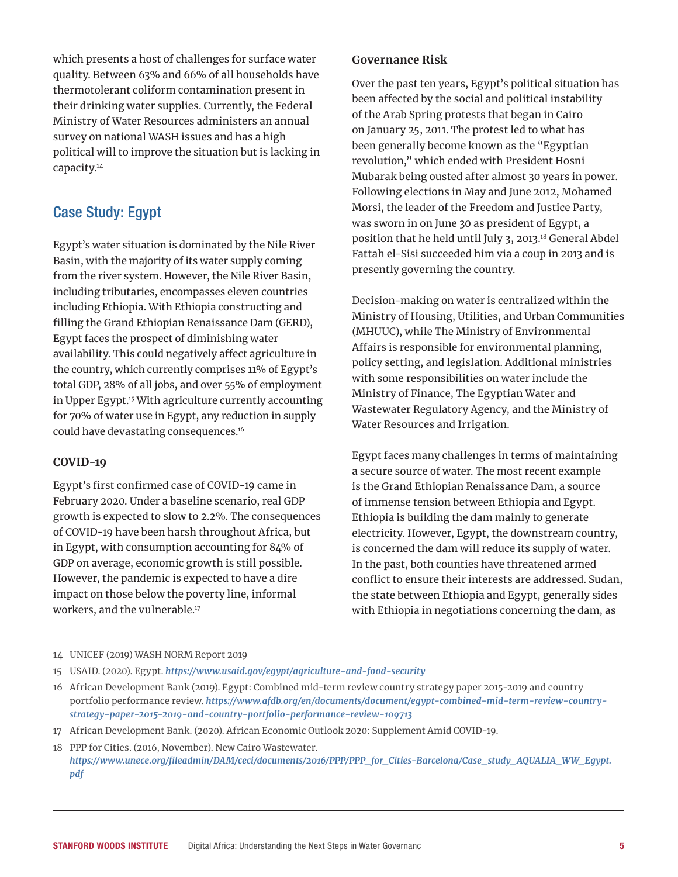which presents a host of challenges for surface water quality. Between 63% and 66% of all households have thermotolerant coliform contamination present in their drinking water supplies. Currently, the Federal Ministry of Water Resources administers an annual survey on national WASH issues and has a high political will to improve the situation but is lacking in capacity.14

# Case Study: Egypt

Egypt's water situation is dominated by the Nile River Basin, with the majority of its water supply coming from the river system. However, the Nile River Basin, including tributaries, encompasses eleven countries including Ethiopia. With Ethiopia constructing and filling the Grand Ethiopian Renaissance Dam (GERD), Egypt faces the prospect of diminishing water availability. This could negatively affect agriculture in the country, which currently comprises 11% of Egypt's total GDP, 28% of all jobs, and over 55% of employment in Upper Egypt.15 With agriculture currently accounting for 70% of water use in Egypt, any reduction in supply could have devastating consequences.16

#### **COVID-19**

Egypt's first confirmed case of COVID-19 came in February 2020. Under a baseline scenario, real GDP growth is expected to slow to 2.2%. The consequences of COVID-19 have been harsh throughout Africa, but in Egypt, with consumption accounting for 84% of GDP on average, economic growth is still possible. However, the pandemic is expected to have a dire impact on those below the poverty line, informal workers, and the vulnerable.<sup>17</sup>

#### **Governance Risk**

Over the past ten years, Egypt's political situation has been affected by the social and political instability of the Arab Spring protests that began in Cairo on January 25, 2011. The protest led to what has been generally become known as the "Egyptian revolution," which ended with President Hosni Mubarak being ousted after almost 30 years in power. Following elections in May and June 2012, Mohamed Morsi, the leader of the Freedom and Justice Party, was sworn in on June 30 as president of Egypt, a position that he held until July 3, 2013.18 General Abdel Fattah el-Sisi succeeded him via a coup in 2013 and is presently governing the country.

Decision-making on water is centralized within the Ministry of Housing, Utilities, and Urban Communities (MHUUC), while The Ministry of Environmental Affairs is responsible for environmental planning, policy setting, and legislation. Additional ministries with some responsibilities on water include the Ministry of Finance, The Egyptian Water and Wastewater Regulatory Agency, and the Ministry of Water Resources and Irrigation.

Egypt faces many challenges in terms of maintaining a secure source of water. The most recent example is the Grand Ethiopian Renaissance Dam, a source of immense tension between Ethiopia and Egypt. Ethiopia is building the dam mainly to generate electricity. However, Egypt, the downstream country, is concerned the dam will reduce its supply of water. In the past, both counties have threatened armed conflict to ensure their interests are addressed. Sudan, the state between Ethiopia and Egypt, generally sides with Ethiopia in negotiations concerning the dam, as

<sup>14</sup> UNICEF (2019) WASH NORM Report 2019

<sup>15</sup> USAID. (2020). Egypt. *<https://www.usaid.gov/egypt/agriculture-and-food-security>*

<sup>16</sup> African Development Bank (2019). Egypt: Combined mid-term review country strategy paper 2015-2019 and country portfolio performance review. *[https://www.afdb.org/en/documents/document/egypt-combined-mid-term-review-country](https://www.afdb.org/en/documents/document/egypt-combined-mid-term-review-country-strategy-paper-2015-2019-and-country-portfolio-performance-review-109713)[strategy-paper-2015-2019-and-country-portfolio-performance-review-109713](https://www.afdb.org/en/documents/document/egypt-combined-mid-term-review-country-strategy-paper-2015-2019-and-country-portfolio-performance-review-109713)*

<sup>17</sup> African Development Bank. (2020). African Economic Outlook 2020: Supplement Amid COVID-19.

<sup>18</sup> PPP for Cities. (2016, November). New Cairo Wastewater. *[https://www.unece.org/fileadmin/DAM/ceci/documents/2016/PPP/PPP\\_for\\_Cities-Barcelona/Case\\_study\\_AQUALIA\\_WW\\_Egypt.](https://www.unece.org/fileadmin/DAM/ceci/documents/2016/PPP/PPP_for_Cities-Barcelona/Case_study_AQUALIA_WW_Egypt.pdf) [pdf](https://www.unece.org/fileadmin/DAM/ceci/documents/2016/PPP/PPP_for_Cities-Barcelona/Case_study_AQUALIA_WW_Egypt.pdf)*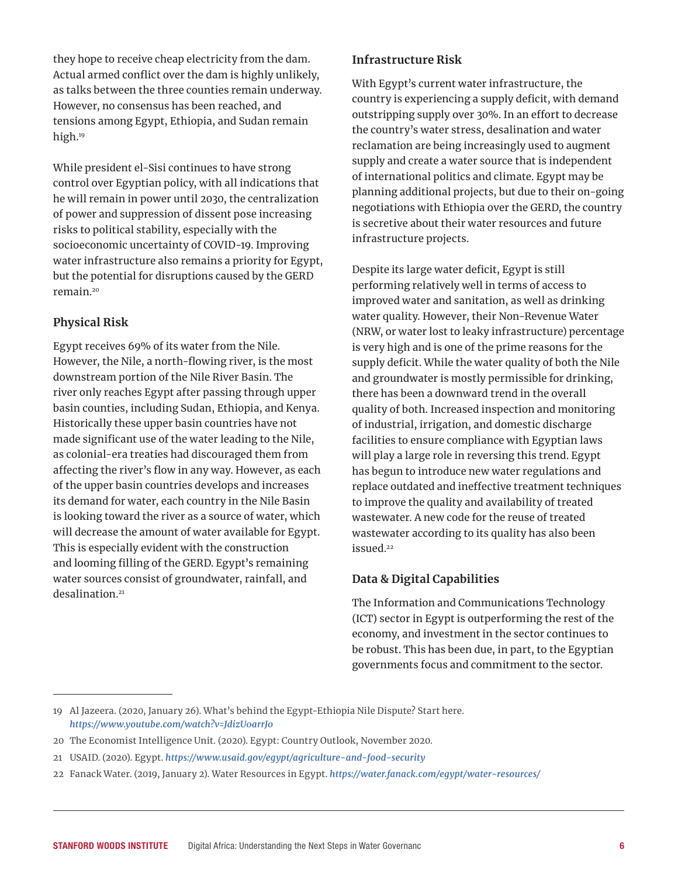they hope to receive cheap electricity from the dam. Actual armed conflict over the dam is highly unlikely, as talks between the three counties remain underway. However, no consensus has been reached, and tensions among Egypt, Ethiopia, and Sudan remain high.19

While president el-Sisi continues to have strong control over Egyptian policy, with all indications that he will remain in power until 2030, the centralization of power and suppression of dissent pose increasing risks to political stability, especially with the socioeconomic uncertainty of COVID-19. Improving water infrastructure also remains a priority for Egypt, but the potential for disruptions caused by the GERD remain.20

#### **Physical Risk**

Egypt receives 69% of its water from the Nile. However, the Nile, a north-flowing river, is the most downstream portion of the Nile River Basin. The river only reaches Egypt after passing through upper basin counties, including Sudan, Ethiopia, and Kenya. Historically these upper basin countries have not made significant use of the water leading to the Nile, as colonial-era treaties had discouraged them from affecting the river's flow in any way. However, as each of the upper basin countries develops and increases its demand for water, each country in the Nile Basin is looking toward the river as a source of water, which will decrease the amount of water available for Egypt. This is especially evident with the construction and looming filling of the GERD. Egypt's remaining water sources consist of groundwater, rainfall, and desalination.21

#### **Infrastructure Risk**

With Egypt's current water infrastructure, the country is experiencing a supply deficit, with demand outstripping supply over 30%. In an effort to decrease the country's water stress, desalination and water reclamation are being increasingly used to augment supply and create a water source that is independent of international politics and climate. Egypt may be planning additional projects, but due to their on-going negotiations with Ethiopia over the GERD, the country is secretive about their water resources and future infrastructure projects.

Despite its large water deficit, Egypt is still performing relatively well in terms of access to improved water and sanitation, as well as drinking water quality. However, their Non-Revenue Water (NRW, or water lost to leaky infrastructure) percentage is very high and is one of the prime reasons for the supply deficit. While the water quality of both the Nile and groundwater is mostly permissible for drinking, there has been a downward trend in the overall quality of both. Increased inspection and monitoring of industrial, irrigation, and domestic discharge facilities to ensure compliance with Egyptian laws will play a large role in reversing this trend. Egypt has begun to introduce new water regulations and replace outdated and ineffective treatment techniques to improve the quality and availability of treated wastewater. A new code for the reuse of treated wastewater according to its quality has also been issued.<sup>22</sup>

#### **Data & Digital Capabilities**

The Information and Communications Technology (ICT) sector in Egypt is outperforming the rest of the economy, and investment in the sector continues to be robust. This has been due, in part, to the Egyptian governments focus and commitment to the sector.

- 20 The Economist Intelligence Unit. (2020). Egypt: Country Outlook, November 2020.
- 21 USAID. (2020). Egypt. *<https://www.usaid.gov/egypt/agriculture-and-food-security>*
- 22 Fanack Water. (2019, January 2). Water Resources in Egypt. *<https://water.fanack.com/egypt/water-resources/>*

<sup>19</sup> Al Jazeera. (2020, January 26). What's behind the Egypt-Ethiopia Nile Dispute? Start here. *<https://www.youtube.com/watch?v=JdizU0arrJ0>*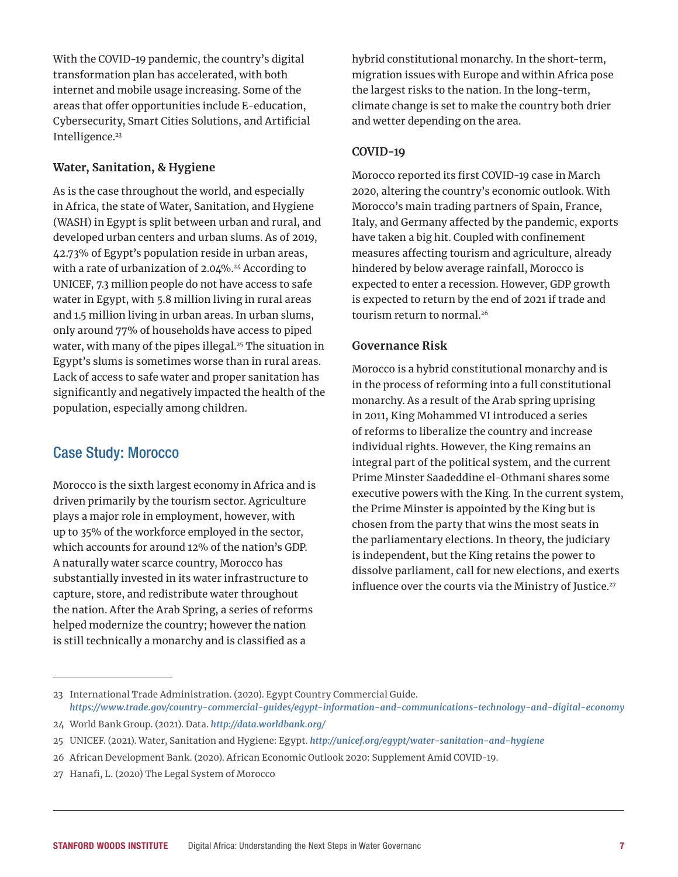With the COVID-19 pandemic, the country's digital transformation plan has accelerated, with both internet and mobile usage increasing. Some of the areas that offer opportunities include E-education, Cybersecurity, Smart Cities Solutions, and Artificial Intelligence.<sup>23</sup>

# **Water, Sanitation, & Hygiene**

As is the case throughout the world, and especially in Africa, the state of Water, Sanitation, and Hygiene (WASH) in Egypt is split between urban and rural, and developed urban centers and urban slums. As of 2019, 42.73% of Egypt's population reside in urban areas, with a rate of urbanization of 2.04%.<sup>24</sup> According to UNICEF, 7.3 million people do not have access to safe water in Egypt, with 5.8 million living in rural areas and 1.5 million living in urban areas. In urban slums, only around 77% of households have access to piped water, with many of the pipes illegal.<sup>25</sup> The situation in Egypt's slums is sometimes worse than in rural areas. Lack of access to safe water and proper sanitation has significantly and negatively impacted the health of the population, especially among children.

# Case Study: Morocco

Morocco is the sixth largest economy in Africa and is driven primarily by the tourism sector. Agriculture plays a major role in employment, however, with up to 35% of the workforce employed in the sector, which accounts for around 12% of the nation's GDP. A naturally water scarce country, Morocco has substantially invested in its water infrastructure to capture, store, and redistribute water throughout the nation. After the Arab Spring, a series of reforms helped modernize the country; however the nation is still technically a monarchy and is classified as a

hybrid constitutional monarchy. In the short-term, migration issues with Europe and within Africa pose the largest risks to the nation. In the long-term, climate change is set to make the country both drier and wetter depending on the area.

# **COVID-19**

Morocco reported its first COVID-19 case in March 2020, altering the country's economic outlook. With Morocco's main trading partners of Spain, France, Italy, and Germany affected by the pandemic, exports have taken a big hit. Coupled with confinement measures affecting tourism and agriculture, already hindered by below average rainfall, Morocco is expected to enter a recession. However, GDP growth is expected to return by the end of 2021 if trade and tourism return to normal.<sup>26</sup>

## **Governance Risk**

Morocco is a hybrid constitutional monarchy and is in the process of reforming into a full constitutional monarchy. As a result of the Arab spring uprising in 2011, King Mohammed VI introduced a series of reforms to liberalize the country and increase individual rights. However, the King remains an integral part of the political system, and the current Prime Minster Saadeddine el-Othmani shares some executive powers with the King. In the current system, the Prime Minster is appointed by the King but is chosen from the party that wins the most seats in the parliamentary elections. In theory, the judiciary is independent, but the King retains the power to dissolve parliament, call for new elections, and exerts influence over the courts via the Ministry of Justice.<sup>27</sup>

<sup>23</sup> International Trade Administration. (2020). Egypt Country Commercial Guide.

*<https://www.trade.gov/country-commercial-guides/egypt-information-and-communications-technology-and-digital-economy>* 24 World Bank Group. (2021). Data. *<http://data.worldbank.org/>*

<sup>25</sup> UNICEF. (2021). Water, Sanitation and Hygiene: Egypt. *<http://unicef.org/egypt/water-sanitation-and-hygiene>*

<sup>26</sup> African Development Bank. (2020). African Economic Outlook 2020: Supplement Amid COVID-19.

<sup>27</sup> Hanafi, L. (2020) The Legal System of Morocco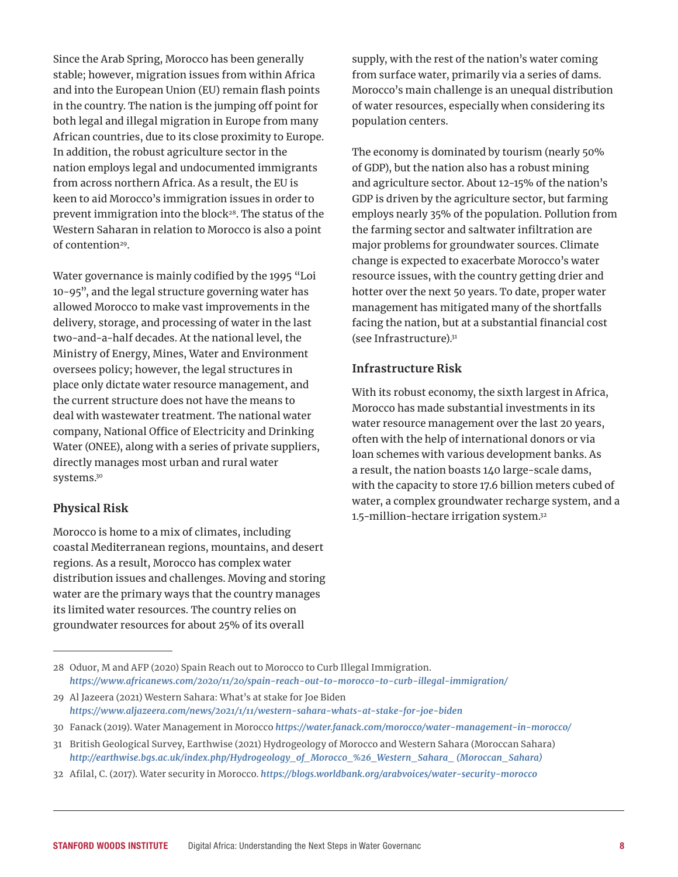Since the Arab Spring, Morocco has been generally stable; however, migration issues from within Africa and into the European Union (EU) remain flash points in the country. The nation is the jumping off point for both legal and illegal migration in Europe from many African countries, due to its close proximity to Europe. In addition, the robust agriculture sector in the nation employs legal and undocumented immigrants from across northern Africa. As a result, the EU is keen to aid Morocco's immigration issues in order to prevent immigration into the block<sup>28</sup>. The status of the Western Saharan in relation to Morocco is also a point of contention<sup>29</sup>.

Water governance is mainly codified by the 1995 "Loi 10-95", and the legal structure governing water has allowed Morocco to make vast improvements in the delivery, storage, and processing of water in the last two-and-a-half decades. At the national level, the Ministry of Energy, Mines, Water and Environment oversees policy; however, the legal structures in place only dictate water resource management, and the current structure does not have the means to deal with wastewater treatment. The national water company, National Office of Electricity and Drinking Water (ONEE), along with a series of private suppliers, directly manages most urban and rural water systems.30

#### **Physical Risk**

Morocco is home to a mix of climates, including coastal Mediterranean regions, mountains, and desert regions. As a result, Morocco has complex water distribution issues and challenges. Moving and storing water are the primary ways that the country manages its limited water resources. The country relies on groundwater resources for about 25% of its overall

supply, with the rest of the nation's water coming from surface water, primarily via a series of dams. Morocco's main challenge is an unequal distribution of water resources, especially when considering its population centers.

The economy is dominated by tourism (nearly 50% of GDP), but the nation also has a robust mining and agriculture sector. About 12-15% of the nation's GDP is driven by the agriculture sector, but farming employs nearly 35% of the population. Pollution from the farming sector and saltwater infiltration are major problems for groundwater sources. Climate change is expected to exacerbate Morocco's water resource issues, with the country getting drier and hotter over the next 50 years. To date, proper water management has mitigated many of the shortfalls facing the nation, but at a substantial financial cost (see Infrastructure).31

#### **Infrastructure Risk**

With its robust economy, the sixth largest in Africa, Morocco has made substantial investments in its water resource management over the last 20 years, often with the help of international donors or via loan schemes with various development banks. As a result, the nation boasts 140 large-scale dams, with the capacity to store 17.6 billion meters cubed of water, a complex groundwater recharge system, and a 1.5-million-hectare irrigation system.32

<sup>28</sup> Oduor, M and AFP (2020) Spain Reach out to Morocco to Curb Illegal Immigration. *<https://www.africanews.com/2020/11/20/spain-reach-out-to-morocco-to-curb-illegal-immigration/>*

<sup>29</sup> Al Jazeera (2021) Western Sahara: What's at stake for Joe Biden *<https://www.aljazeera.com/news/2021/1/11/western-sahara-whats-at-stake-for-joe-biden>*

<sup>30</sup> Fanack (2019). Water Management in Morocco *<https://water.fanack.com/morocco/water-management-in-morocco/>*

<sup>31</sup> British Geological Survey, Earthwise (2021) Hydrogeology of Morocco and Western Sahara (Moroccan Sahara) *[http://earthwise.bgs.ac.uk/index.php/Hydrogeology\\_of\\_Morocco\\_%26\\_Western\\_Sahara\\_ \(Moroccan\\_Sahara\)](http://earthwise.bgs.ac.uk/index.php/Hydrogeology_of_Morocco_%26_Western_Sahara_ (Moroccan_Sahara))*

<sup>32</sup> Afilal, C. (2017). Water security in Morocco. *<https://blogs.worldbank.org/arabvoices/water-security-morocco>*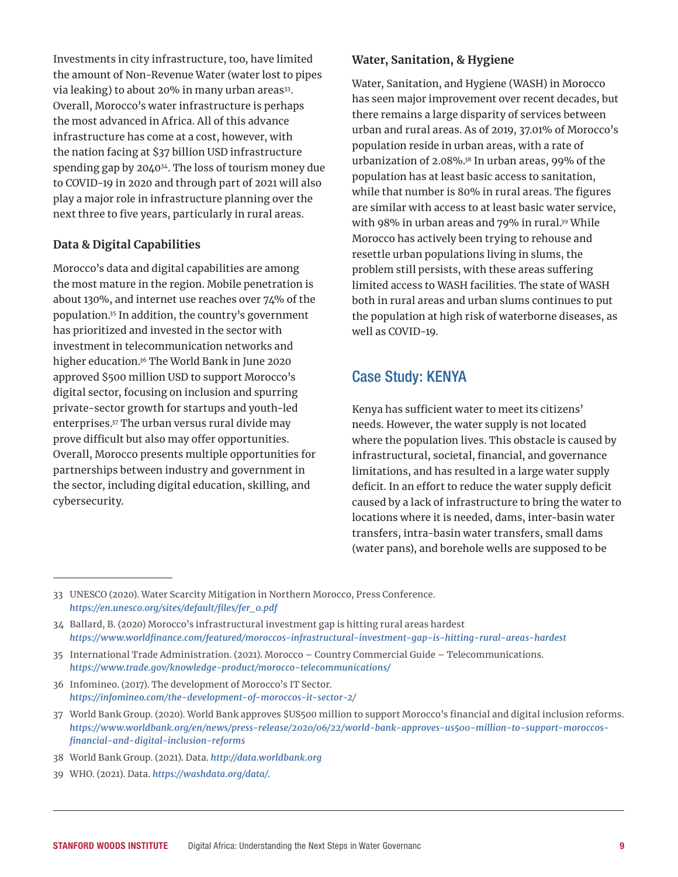Investments in city infrastructure, too, have limited the amount of Non-Revenue Water (water lost to pipes via leaking) to about 20% in many urban areas<sup>33</sup>. Overall, Morocco's water infrastructure is perhaps the most advanced in Africa. All of this advance infrastructure has come at a cost, however, with the nation facing at \$37 billion USD infrastructure spending gap by 2040<sup>34</sup>. The loss of tourism money due to COVID-19 in 2020 and through part of 2021 will also play a major role in infrastructure planning over the next three to five years, particularly in rural areas.

#### **Data & Digital Capabilities**

Morocco's data and digital capabilities are among the most mature in the region. Mobile penetration is about 130%, and internet use reaches over 74% of the population.35 In addition, the country's government has prioritized and invested in the sector with investment in telecommunication networks and higher education.36 The World Bank in June 2020 approved \$500 million USD to support Morocco's digital sector, focusing on inclusion and spurring private-sector growth for startups and youth-led enterprises.37 The urban versus rural divide may prove difficult but also may offer opportunities. Overall, Morocco presents multiple opportunities for partnerships between industry and government in the sector, including digital education, skilling, and cybersecurity.

#### **Water, Sanitation, & Hygiene**

Water, Sanitation, and Hygiene (WASH) in Morocco has seen major improvement over recent decades, but there remains a large disparity of services between urban and rural areas. As of 2019, 37.01% of Morocco's population reside in urban areas, with a rate of urbanization of 2.08%.38 In urban areas, 99% of the population has at least basic access to sanitation, while that number is 80% in rural areas. The figures are similar with access to at least basic water service, with 98% in urban areas and 79% in rural.<sup>39</sup> While Morocco has actively been trying to rehouse and resettle urban populations living in slums, the problem still persists, with these areas suffering limited access to WASH facilities. The state of WASH both in rural areas and urban slums continues to put the population at high risk of waterborne diseases, as well as COVID-19.

# Case Study: KENYA

Kenya has sufficient water to meet its citizens' needs. However, the water supply is not located where the population lives. This obstacle is caused by infrastructural, societal, financial, and governance limitations, and has resulted in a large water supply deficit. In an effort to reduce the water supply deficit caused by a lack of infrastructure to bring the water to locations where it is needed, dams, inter-basin water transfers, intra-basin water transfers, small dams (water pans), and borehole wells are supposed to be

39 WHO. (2021). Data. *<https://washdata.org/data/.>*

<sup>33</sup> UNESCO (2020). Water Scarcity Mitigation in Northern Morocco, Press Conference. *[https://en.unesco.org/sites/default/files/fer\\_0.pdf](https://en.unesco.org/sites/default/files/fer_0.pdf)*

<sup>34</sup> Ballard, B. (2020) Morocco's infrastructural investment gap is hitting rural areas hardest *<https://www.worldfinance.com/featured/moroccos-infrastructural-investment-gap-is-hitting-rural-areas-hardest>*

<sup>35</sup> International Trade Administration. (2021). Morocco – Country Commercial Guide – Telecommunications. *<https://www.trade.gov/knowledge-product/morocco-telecommunications/>*

<sup>36</sup> Infomineo. (2017). The development of Morocco's IT Sector. *<https://infomineo.com/the-development-of-moroccos-it-sector-2/>*

<sup>37</sup> World Bank Group. (2020). World Bank approves \$US500 million to support Morocco's financial and digital inclusion reforms. *[https://www.worldbank.org/en/news/press-release/2020/06/22/world-bank-approves-us500-million-to-support-moroccos](https://www.worldbank.org/en/news/press-release/2020/06/22/world-bank-approves-us500-million-to-support-moroccos-financial-and-digital-inclusion-reforms)[financial-and-digital-inclusion-reforms](https://www.worldbank.org/en/news/press-release/2020/06/22/world-bank-approves-us500-million-to-support-moroccos-financial-and-digital-inclusion-reforms)*

<sup>38</sup> World Bank Group. (2021). Data. *<http://data.worldbank.org>*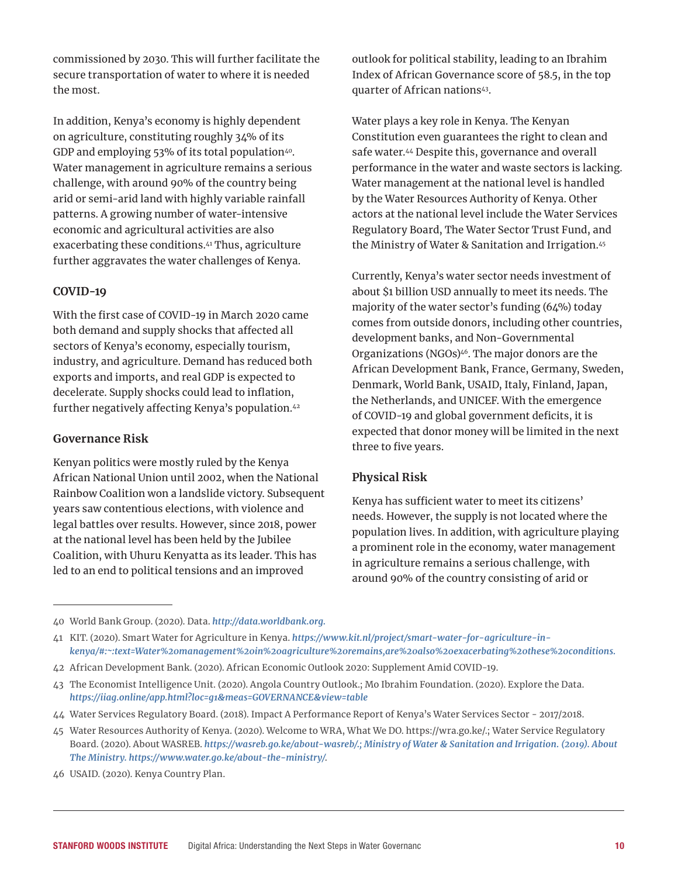commissioned by 2030. This will further facilitate the secure transportation of water to where it is needed the most.

In addition, Kenya's economy is highly dependent on agriculture, constituting roughly 34% of its GDP and employing 53% of its total population<sup>40</sup>. Water management in agriculture remains a serious challenge, with around 90% of the country being arid or semi-arid land with highly variable rainfall patterns. A growing number of water-intensive economic and agricultural activities are also exacerbating these conditions.41 Thus, agriculture further aggravates the water challenges of Kenya.

#### **COVID-19**

With the first case of COVID-19 in March 2020 came both demand and supply shocks that affected all sectors of Kenya's economy, especially tourism, industry, and agriculture. Demand has reduced both exports and imports, and real GDP is expected to decelerate. Supply shocks could lead to inflation, further negatively affecting Kenya's population.42

#### **Governance Risk**

Kenyan politics were mostly ruled by the Kenya African National Union until 2002, when the National Rainbow Coalition won a landslide victory. Subsequent years saw contentious elections, with violence and legal battles over results. However, since 2018, power at the national level has been held by the Jubilee Coalition, with Uhuru Kenyatta as its leader. This has led to an end to political tensions and an improved

outlook for political stability, leading to an Ibrahim Index of African Governance score of 58.5, in the top quarter of African nations43.

Water plays a key role in Kenya. The Kenyan Constitution even guarantees the right to clean and safe water.<sup>44</sup> Despite this, governance and overall performance in the water and waste sectors is lacking. Water management at the national level is handled by the Water Resources Authority of Kenya. Other actors at the national level include the Water Services Regulatory Board, The Water Sector Trust Fund, and the Ministry of Water & Sanitation and Irrigation.<sup>45</sup>

Currently, Kenya's water sector needs investment of about \$1 billion USD annually to meet its needs. The majority of the water sector's funding (64%) today comes from outside donors, including other countries, development banks, and Non-Governmental Organizations (NGOs)46. The major donors are the African Development Bank, France, Germany, Sweden, Denmark, World Bank, USAID, Italy, Finland, Japan, the Netherlands, and UNICEF. With the emergence of COVID-19 and global government deficits, it is expected that donor money will be limited in the next three to five years.

## **Physical Risk**

Kenya has sufficient water to meet its citizens' needs. However, the supply is not located where the population lives. In addition, with agriculture playing a prominent role in the economy, water management in agriculture remains a serious challenge, with around 90% of the country consisting of arid or

<sup>40</sup> World Bank Group. (2020). Data. *<http://data.worldbank.org>.*

<sup>41</sup> KIT. (2020). Smart Water for Agriculture in Kenya. *[https://www.kit.nl/project/smart-water-for-agriculture-in](https://www.kit.nl/project/smart-water-for-agriculture-in-kenya/#:~:text=Water%20management%20in%20agriculture%20remains,are%20also%20exacerbating%20these%20conditions.)[kenya/#:~:text=Water%20management%20in%20agriculture%20remains,are%20also%20exacerbating%20these%20conditions.](https://www.kit.nl/project/smart-water-for-agriculture-in-kenya/#:~:text=Water%20management%20in%20agriculture%20remains,are%20also%20exacerbating%20these%20conditions.)*

<sup>42</sup> African Development Bank. (2020). African Economic Outlook 2020: Supplement Amid COVID-19.

<sup>43</sup> The Economist Intelligence Unit. (2020). Angola Country Outlook.; Mo Ibrahim Foundation. (2020). Explore the Data. *<https://iiag.online/app.html?loc=g1&meas=GOVERNANCE&view=table>*

<sup>44</sup> Water Services Regulatory Board. (2018). Impact A Performance Report of Kenya's Water Services Sector - 2017/2018.

<sup>45</sup> Water Resources Authority of Kenya. (2020). Welcome to WRA, What We DO. https://wra.go.ke/.; Water Service Regulatory Board. (2020). About WASREB. *[https://wasreb.go.ke/about-wasreb/.; Ministry of Water & Sanitation and Irrigation. \(2019\). About](https://wasreb.go.ke/about-wasreb/.; Ministry of Water & Sanitation and Irrigation. (2019). About The Ministry. https://www.water.go.ke/about-the-ministry/)  [The Ministry. https://www.water.go.ke/about-the-ministry/](https://wasreb.go.ke/about-wasreb/.; Ministry of Water & Sanitation and Irrigation. (2019). About The Ministry. https://www.water.go.ke/about-the-ministry/)*.

<sup>46</sup> USAID. (2020). Kenya Country Plan.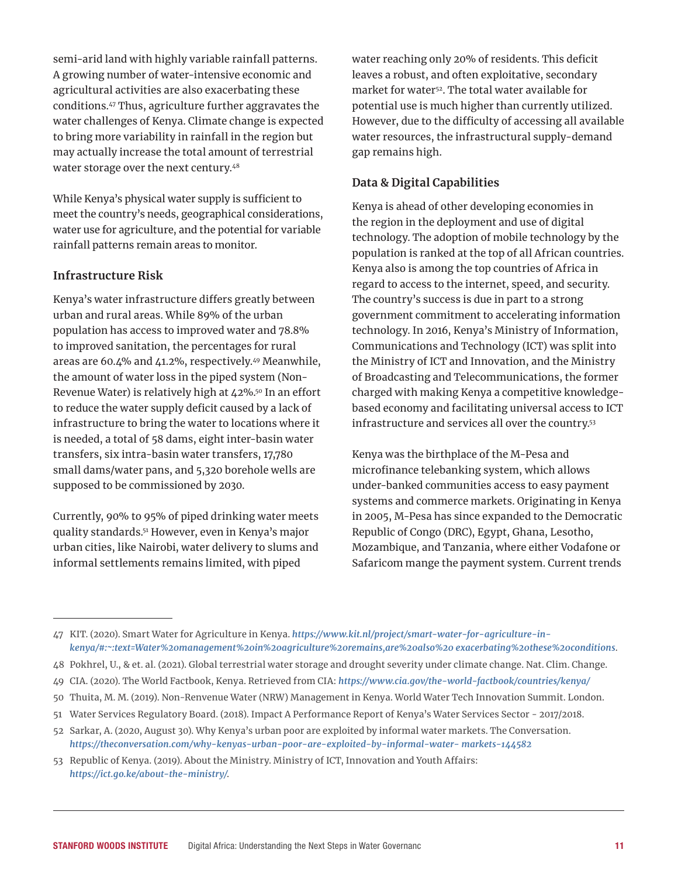semi-arid land with highly variable rainfall patterns. A growing number of water-intensive economic and agricultural activities are also exacerbating these conditions.47 Thus, agriculture further aggravates the water challenges of Kenya. Climate change is expected to bring more variability in rainfall in the region but may actually increase the total amount of terrestrial water storage over the next century.<sup>48</sup>

While Kenya's physical water supply is sufficient to meet the country's needs, geographical considerations, water use for agriculture, and the potential for variable rainfall patterns remain areas to monitor.

#### **Infrastructure Risk**

Kenya's water infrastructure differs greatly between urban and rural areas. While 89% of the urban population has access to improved water and 78.8% to improved sanitation, the percentages for rural areas are 60.4% and 41.2%, respectively.49 Meanwhile, the amount of water loss in the piped system (Non-Revenue Water) is relatively high at 42%.<sup>50</sup> In an effort to reduce the water supply deficit caused by a lack of infrastructure to bring the water to locations where it is needed, a total of 58 dams, eight inter-basin water transfers, six intra-basin water transfers, 17,780 small dams/water pans, and 5,320 borehole wells are supposed to be commissioned by 2030.

Currently, 90% to 95% of piped drinking water meets quality standards.51 However, even in Kenya's major urban cities, like Nairobi, water delivery to slums and informal settlements remains limited, with piped

water reaching only 20% of residents. This deficit leaves a robust, and often exploitative, secondary market for water<sup>52</sup>. The total water available for potential use is much higher than currently utilized. However, due to the difficulty of accessing all available water resources, the infrastructural supply-demand gap remains high.

# **Data & Digital Capabilities**

Kenya is ahead of other developing economies in the region in the deployment and use of digital technology. The adoption of mobile technology by the population is ranked at the top of all African countries. Kenya also is among the top countries of Africa in regard to access to the internet, speed, and security. The country's success is due in part to a strong government commitment to accelerating information technology. In 2016, Kenya's Ministry of Information, Communications and Technology (ICT) was split into the Ministry of ICT and Innovation, and the Ministry of Broadcasting and Telecommunications, the former charged with making Kenya a competitive knowledgebased economy and facilitating universal access to ICT infrastructure and services all over the country.<sup>53</sup>

Kenya was the birthplace of the M-Pesa and microfinance telebanking system, which allows under-banked communities access to easy payment systems and commerce markets. Originating in Kenya in 2005, M-Pesa has since expanded to the Democratic Republic of Congo (DRC), Egypt, Ghana, Lesotho, Mozambique, and Tanzania, where either Vodafone or Safaricom mange the payment system. Current trends

<sup>47</sup> KIT. (2020). Smart Water for Agriculture in Kenya. *[https://www.kit.nl/project/smart-water-for-agriculture-in](https://www.kit.nl/project/smart-water-for-agriculture-in-kenya/#:~:text=Water%20management%20in%20agriculture%20remains,are%20also%20 exacerbating%20these%20conditions)[kenya/#:~:text=Water%20management%20in%20agriculture%20remains,are%20also%20 exacerbating%20these%20conditions](https://www.kit.nl/project/smart-water-for-agriculture-in-kenya/#:~:text=Water%20management%20in%20agriculture%20remains,are%20also%20 exacerbating%20these%20conditions)*.

<sup>48</sup> Pokhrel, U., & et. al. (2021). Global terrestrial water storage and drought severity under climate change. Nat. Clim. Change.

<sup>49</sup> CIA. (2020). The World Factbook, Kenya. Retrieved from CIA: *<https://www.cia.gov/the-world-factbook/countries/kenya/>*

<sup>50</sup> Thuita, M. M. (2019). Non-Renvenue Water (NRW) Management in Kenya. World Water Tech Innovation Summit. London.

<sup>51</sup> Water Services Regulatory Board. (2018). Impact A Performance Report of Kenya's Water Services Sector - 2017/2018.

<sup>52</sup> Sarkar, A. (2020, August 30). Why Kenya's urban poor are exploited by informal water markets. The Conversation. *<https://theconversation.com/why-kenyas-urban-poor-are-exploited-by-informal-water- markets-144582>*

<sup>53</sup> Republic of Kenya. (2019). About the Ministry. Ministry of ICT, Innovation and Youth Affairs: *<https://ict.go.ke/about-the-ministry/>*.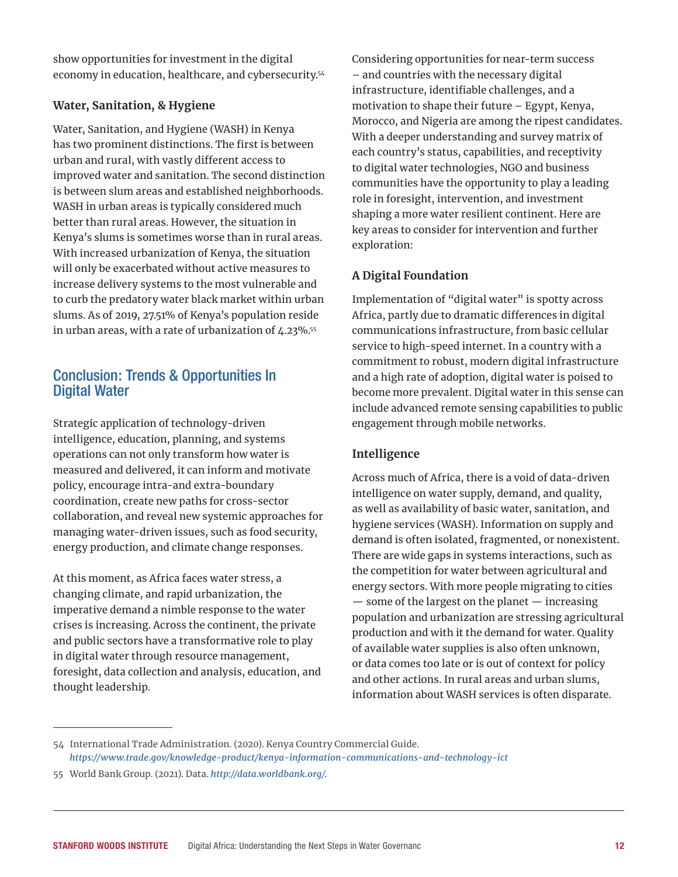show opportunities for investment in the digital economy in education, healthcare, and cybersecurity.54

# **Water, Sanitation, & Hygiene**

Water, Sanitation, and Hygiene (WASH) in Kenya has two prominent distinctions. The first is between urban and rural, with vastly different access to improved water and sanitation. The second distinction is between slum areas and established neighborhoods. WASH in urban areas is typically considered much better than rural areas. However, the situation in Kenya's slums is sometimes worse than in rural areas. With increased urbanization of Kenya, the situation will only be exacerbated without active measures to increase delivery systems to the most vulnerable and to curb the predatory water black market within urban slums. As of 2019, 27.51% of Kenya's population reside in urban areas, with a rate of urbanization of 4.23%.<sup>55</sup>

# Conclusion: Trends & Opportunities In Digital Water

Strategic application of technology-driven intelligence, education, planning, and systems operations can not only transform how water is measured and delivered, it can inform and motivate policy, encourage intra-and extra-boundary coordination, create new paths for cross-sector collaboration, and reveal new systemic approaches for managing water-driven issues, such as food security, energy production, and climate change responses.

At this moment, as Africa faces water stress, a changing climate, and rapid urbanization, the imperative demand a nimble response to the water crises is increasing. Across the continent, the private and public sectors have a transformative role to play in digital water through resource management, foresight, data collection and analysis, education, and thought leadership.

Considering opportunities for near-term success – and countries with the necessary digital infrastructure, identifiable challenges, and a motivation to shape their future – Egypt, Kenya, Morocco, and Nigeria are among the ripest candidates. With a deeper understanding and survey matrix of each country's status, capabilities, and receptivity to digital water technologies, NGO and business communities have the opportunity to play a leading role in foresight, intervention, and investment shaping a more water resilient continent. Here are key areas to consider for intervention and further exploration:

# **A Digital Foundation**

Implementation of "digital water" is spotty across Africa, partly due to dramatic differences in digital communications infrastructure, from basic cellular service to high-speed internet. In a country with a commitment to robust, modern digital infrastructure and a high rate of adoption, digital water is poised to become more prevalent. Digital water in this sense can include advanced remote sensing capabilities to public engagement through mobile networks.

# **Intelligence**

Across much of Africa, there is a void of data-driven intelligence on water supply, demand, and quality, as well as availability of basic water, sanitation, and hygiene services (WASH). Information on supply and demand is often isolated, fragmented, or nonexistent. There are wide gaps in systems interactions, such as the competition for water between agricultural and energy sectors. With more people migrating to cities — some of the largest on the planet — increasing population and urbanization are stressing agricultural production and with it the demand for water. Quality of available water supplies is also often unknown, or data comes too late or is out of context for policy and other actions. In rural areas and urban slums, information about WASH services is often disparate.

<sup>54</sup> International Trade Administration. (2020). Kenya Country Commercial Guide. *<https://www.trade.gov/knowledge-product/kenya-information-communications-and-technology-ict>*

<sup>55</sup> World Bank Group. (2021). Data. *<http://data.worldbank.org/>*.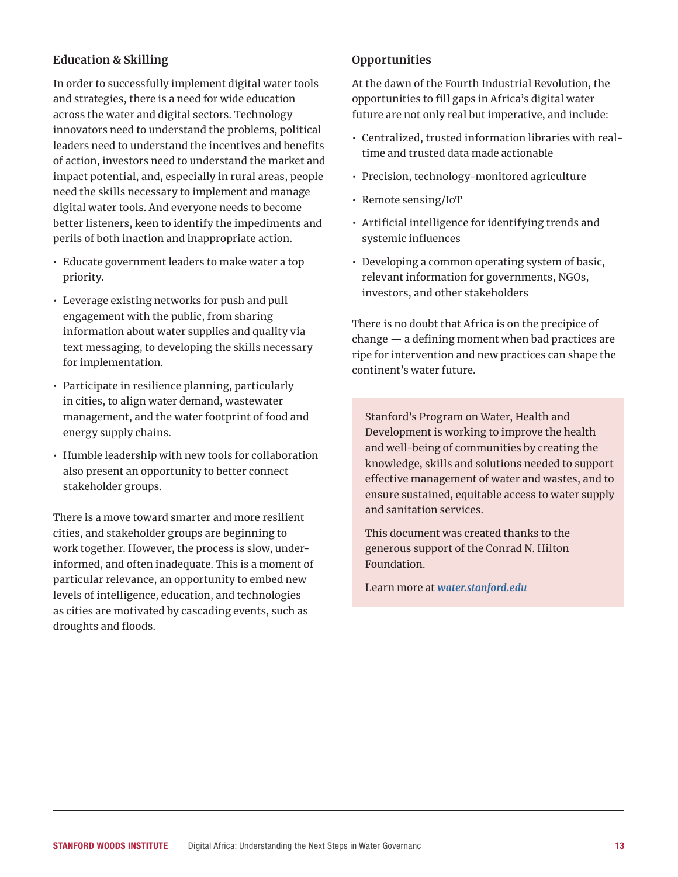# **Education & Skilling**

In order to successfully implement digital water tools and strategies, there is a need for wide education across the water and digital sectors. Technology innovators need to understand the problems, political leaders need to understand the incentives and benefits of action, investors need to understand the market and impact potential, and, especially in rural areas, people need the skills necessary to implement and manage digital water tools. And everyone needs to become better listeners, keen to identify the impediments and perils of both inaction and inappropriate action.

- Educate government leaders to make water a top priority.
- Leverage existing networks for push and pull engagement with the public, from sharing information about water supplies and quality via text messaging, to developing the skills necessary for implementation.
- Participate in resilience planning, particularly in cities, to align water demand, wastewater management, and the water footprint of food and energy supply chains.
- Humble leadership with new tools for collaboration also present an opportunity to better connect stakeholder groups.

There is a move toward smarter and more resilient cities, and stakeholder groups are beginning to work together. However, the process is slow, underinformed, and often inadequate. This is a moment of particular relevance, an opportunity to embed new levels of intelligence, education, and technologies as cities are motivated by cascading events, such as droughts and floods.

#### **Opportunities**

At the dawn of the Fourth Industrial Revolution, the opportunities to fill gaps in Africa's digital water future are not only real but imperative, and include:

- Centralized, trusted information libraries with realtime and trusted data made actionable
- Precision, technology-monitored agriculture
- Remote sensing/IoT
- Artificial intelligence for identifying trends and systemic influences
- Developing a common operating system of basic, relevant information for governments, NGOs, investors, and other stakeholders

There is no doubt that Africa is on the precipice of change — a defining moment when bad practices are ripe for intervention and new practices can shape the continent's water future.

Stanford's Program on Water, Health and Development is working to improve the health and well-being of communities by creating the knowledge, skills and solutions needed to support effective management of water and wastes, and to ensure sustained, equitable access to water supply and sanitation services.

This document was created thanks to the generous support of the Conrad N. Hilton Foundation.

Learn more at *water.stanford.edu*